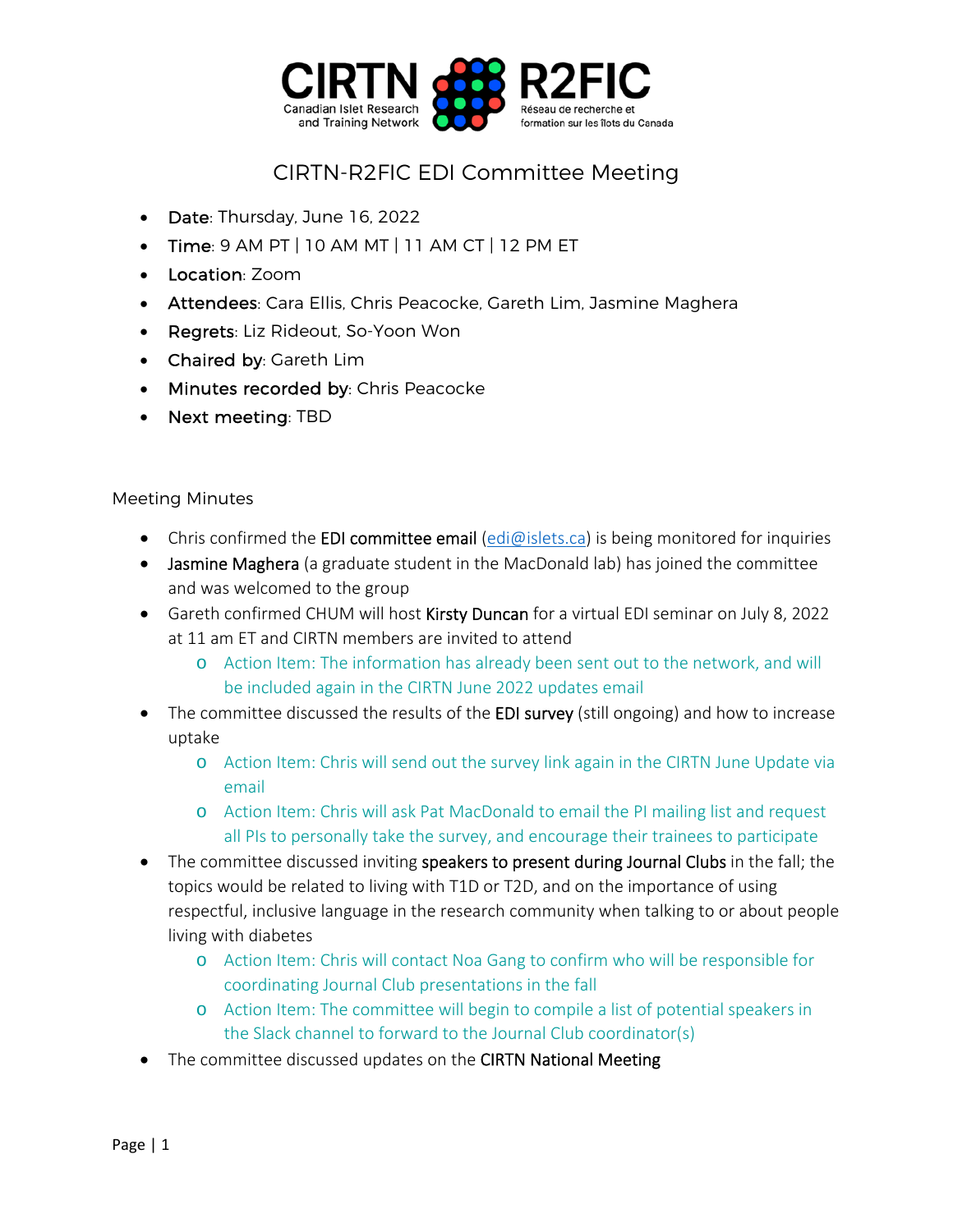

## CIRTN-R2FIC EDI Committee Meeting

- Date: Thursday, June 16, 2022
- $\bullet$  Time: 9 AM PT | 10 AM MT | 11 AM CT | 12 PM ET
- Location: Zoom
- Attendees: Cara Ellis, Chris Peacocke, Gareth Lim, Jasmine Maghera
- Regrets: Liz Rideout, So-Yoon Won
- Chaired by: Gareth Lim
- Minutes recorded by: Chris Peacocke
- Next meeting: TBD

## Meeting Minutes

- Chris confirmed the EDI committee email (edi@islets.ca) is being monitored for inquiries
- Jasmine Maghera (a graduate student in the MacDonald lab) has joined the committee and was welcomed to the group
- Gareth confirmed CHUM will host Kirsty Duncan for a virtual EDI seminar on July 8, 2022 at 11 am ET and CIRTN members are invited to attend
	- o Action Item: The information has already been sent out to the network, and will be included again in the CIRTN June 2022 updates email
- The committee discussed the results of the **EDI survey** (still ongoing) and how to increase uptake
	- o Action Item: Chris will send out the survey link again in the CIRTN June Update via email
	- o Action Item: Chris will ask Pat MacDonald to email the PI mailing list and request all PIs to personally take the survey, and encourage their trainees to participate
- The committee discussed inviting speakers to present during Journal Clubs in the fall; the topics would be related to living with T1D or T2D, and on the importance of using respectful, inclusive language in the research community when talking to or about people living with diabetes
	- o Action Item: Chris will contact Noa Gang to confirm who will be responsible for coordinating Journal Club presentations in the fall
	- o Action Item: The committee will begin to compile a list of potential speakers in the Slack channel to forward to the Journal Club coordinator(s)
- The committee discussed updates on the CIRTN National Meeting